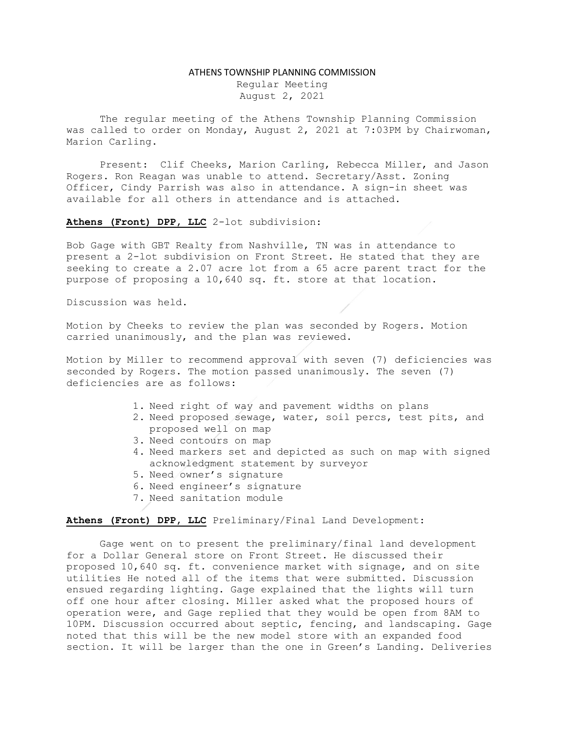## ATHENS TOWNSHIP PLANNING COMMISSION

Regular Meeting August 2, 2021

The regular meeting of the Athens Township Planning Commission was called to order on Monday, August 2, 2021 at 7:03PM by Chairwoman, Marion Carling.

Present: Clif Cheeks, Marion Carling, Rebecca Miller, and Jason Rogers. Ron Reagan was unable to attend. Secretary/Asst. Zoning Officer, Cindy Parrish was also in attendance. A sign-in sheet was available for all others in attendance and is attached.

Athens (Front) DPP, LLC 2-lot subdivision:

Bob Gage with GBT Realty from Nashville, TN was in attendance to present a 2-lot subdivision on Front Street. He stated that they are seeking to create a 2.07 acre lot from a 65 acre parent tract for the purpose of proposing a 10,640 sq. ft. store at that location.

Discussion was held.

Motion by Cheeks to review the plan was seconded by Rogers. Motion carried unanimously, and the plan was reviewed.

Motion by Miller to recommend approval with seven (7) deficiencies was seconded by Rogers. The motion passed unanimously. The seven (7) deficiencies are as follows:

- 1. Need right of way and pavement widths on plans
- 2. Need proposed sewage, water, soil percs, test pits, and proposed well on map
- 3. Need contours on map
- 4. Need markers set and depicted as such on map with signed acknowledgment statement by surveyor
- 5. Need owner's signature
- 6. Need engineer's signature
- 7. Need sanitation module

Athens (Front) DPP, LLC Preliminary/Final Land Development:

Gage went on to present the preliminary/final land development for a Dollar General store on Front Street. He discussed their proposed 10,640 sq. ft. convenience market with signage, and on site utilities He noted all of the items that were submitted. Discussion ensued regarding lighting. Gage explained that the lights will turn off one hour after closing. Miller asked what the proposed hours of operation were, and Gage replied that they would be open from 8AM to 10PM. Discussion occurred about septic, fencing, and landscaping. Gage noted that this will be the new model store with an expanded food section. It will be larger than the one in Green's Landing. Deliveries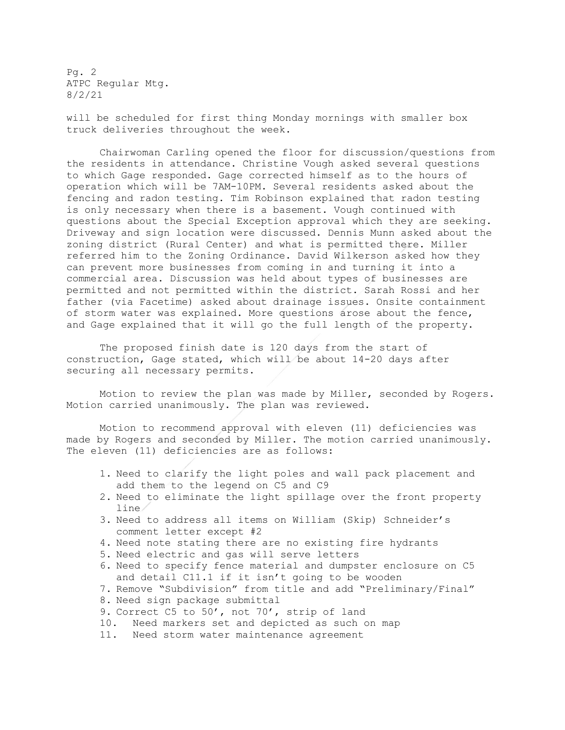Pg. 2 ATPC Regular Mtg. 8/2/21

will be scheduled for first thing Monday mornings with smaller box truck deliveries throughout the week.

Chairwoman Carling opened the floor for discussion/questions from the residents in attendance. Christine Vough asked several questions to which Gage responded. Gage corrected himself as to the hours of operation which will be 7AM-10PM. Several residents asked about the fencing and radon testing. Tim Robinson explained that radon testing is only necessary when there is a basement. Vough continued with questions about the Special Exception approval which they are seeking. Driveway and sign location were discussed. Dennis Munn asked about the zoning district (Rural Center) and what is permitted there. Miller referred him to the Zoning Ordinance. David Wilkerson asked how they can prevent more businesses from coming in and turning it into a commercial area. Discussion was held about types of businesses are permitted and not permitted within the district. Sarah Rossi and her father (via Facetime) asked about drainage issues. Onsite containment of storm water was explained. More questions arose about the fence, and Gage explained that it will go the full length of the property.

The proposed finish date is 120 days from the start of construction, Gage stated, which will be about 14-20 days after securing all necessary permits.

Motion to review the plan was made by Miller, seconded by Rogers. Motion carried unanimously. The plan was reviewed.

Motion to recommend approval with eleven (11) deficiencies was made by Rogers and seconded by Miller. The motion carried unanimously. The eleven (11) deficiencies are as follows:

- 1. Need to clarify the light poles and wall pack placement and add them to the legend on C5 and C9
- 2. Need to eliminate the light spillage over the front property line
- 3. Need to address all items on William (Skip) Schneider's comment letter except #2
- 4. Need note stating there are no existing fire hydrants
- 5. Need electric and gas will serve letters
- 6. Need to specify fence material and dumpster enclosure on C5 and detail C11.1 if it isn't going to be wooden
- 7. Remove "Subdivision" from title and add "Preliminary/Final"
- 8. Need sign package submittal
- 9. Correct C5 to 50', not 70', strip of land
- 10. Need markers set and depicted as such on map
- 11. Need storm water maintenance agreement